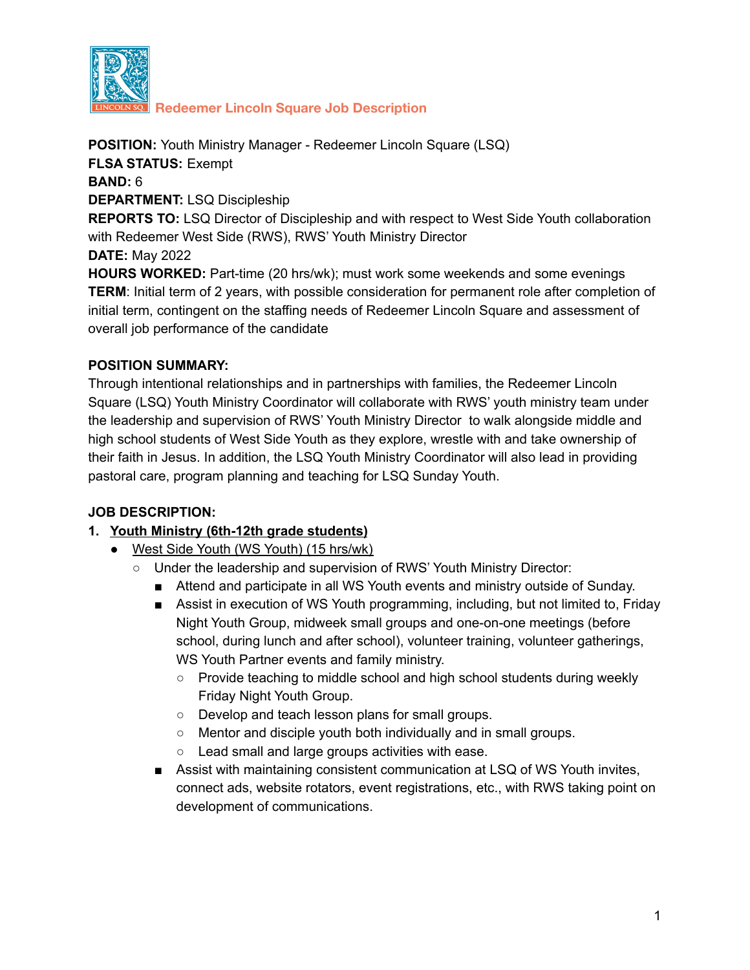

**Redeemer Lincoln Square Job Description**

**POSITION:** Youth Ministry Manager - Redeemer Lincoln Square (LSQ) **FLSA STATUS:** Exempt **BAND:** 6 **DEPARTMENT:** LSQ Discipleship **REPORTS TO:** LSQ Director of Discipleship and with respect to West Side Youth collaboration with Redeemer West Side (RWS), RWS' Youth Ministry Director **DATE:** May 2022 **HOURS WORKED:** Part-time (20 hrs/wk); must work some weekends and some evenings **TERM**: Initial term of 2 years, with possible consideration for permanent role after completion of initial term, contingent on the staffing needs of Redeemer Lincoln Square and assessment of overall job performance of the candidate

### **POSITION SUMMARY:**

Through intentional relationships and in partnerships with families, the Redeemer Lincoln Square (LSQ) Youth Ministry Coordinator will collaborate with RWS' youth ministry team under the leadership and supervision of RWS' Youth Ministry Director to walk alongside middle and high school students of West Side Youth as they explore, wrestle with and take ownership of their faith in Jesus. In addition, the LSQ Youth Ministry Coordinator will also lead in providing pastoral care, program planning and teaching for LSQ Sunday Youth.

### **JOB DESCRIPTION:**

### **1. Youth Ministry (6th-12th grade students)**

- **●** West Side Youth (WS Youth) (15 hrs/wk)
	- Under the leadership and supervision of RWS' Youth Ministry Director:
		- Attend and participate in all WS Youth events and ministry outside of Sunday.
		- Assist in execution of WS Youth programming, including, but not limited to, Friday Night Youth Group, midweek small groups and one-on-one meetings (before school, during lunch and after school), volunteer training, volunteer gatherings, WS Youth Partner events and family ministry.
			- Provide teaching to middle school and high school students during weekly Friday Night Youth Group.
			- Develop and teach lesson plans for small groups.
			- Mentor and disciple youth both individually and in small groups.
			- Lead small and large groups activities with ease.
		- Assist with maintaining consistent communication at LSQ of WS Youth invites, connect ads, website rotators, event registrations, etc., with RWS taking point on development of communications.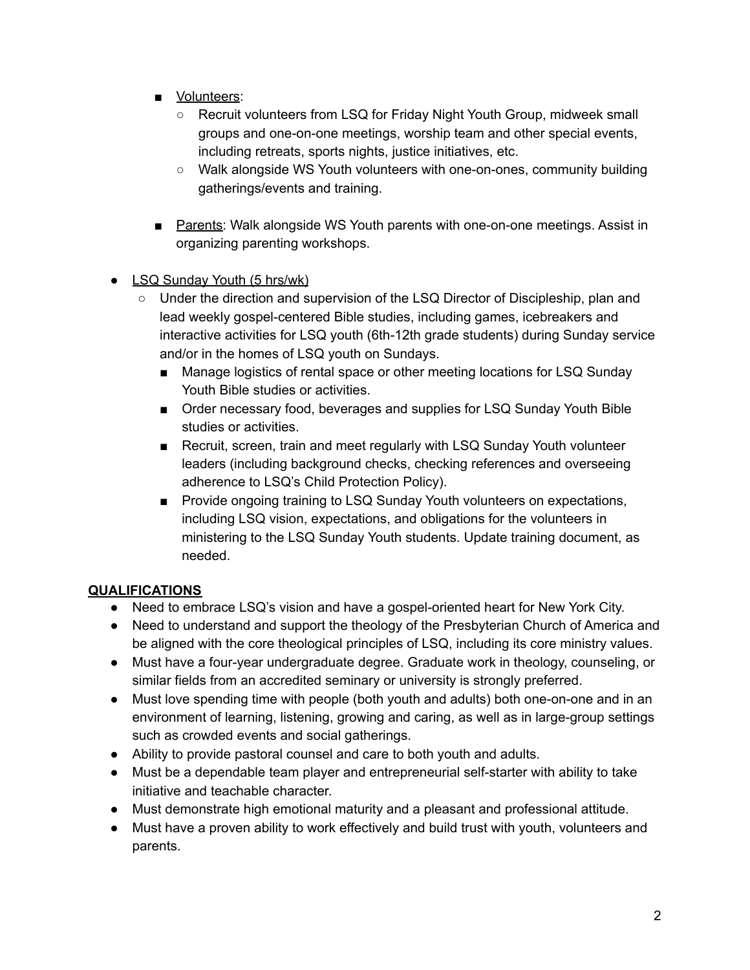- Volunteers:
	- Recruit volunteers from LSQ for Friday Night Youth Group, midweek small groups and one-on-one meetings, worship team and other special events, including retreats, sports nights, justice initiatives, etc.
	- Walk alongside WS Youth volunteers with one-on-ones, community building gatherings/events and training.
- Parents: Walk alongside WS Youth parents with one-on-one meetings. Assist in organizing parenting workshops.
- **●** LSQ Sunday Youth (5 hrs/wk)
	- Under the direction and supervision of the LSQ Director of Discipleship, plan and lead weekly gospel-centered Bible studies, including games, icebreakers and interactive activities for LSQ youth (6th-12th grade students) during Sunday service and/or in the homes of LSQ youth on Sundays.
		- Manage logistics of rental space or other meeting locations for LSQ Sunday Youth Bible studies or activities.
		- Order necessary food, beverages and supplies for LSQ Sunday Youth Bible studies or activities.
		- Recruit, screen, train and meet regularly with LSQ Sunday Youth volunteer leaders (including background checks, checking references and overseeing adherence to LSQ's Child Protection Policy).
		- Provide ongoing training to LSQ Sunday Youth volunteers on expectations, including LSQ vision, expectations, and obligations for the volunteers in ministering to the LSQ Sunday Youth students. Update training document, as needed.

# **QUALIFICATIONS**

- Need to embrace LSQ's vision and have a gospel-oriented heart for New York City.
- Need to understand and support the theology of the Presbyterian Church of America and be aligned with the core theological principles of LSQ, including its core ministry values.
- Must have a four-year undergraduate degree. Graduate work in theology, counseling, or similar fields from an accredited seminary or university is strongly preferred.
- Must love spending time with people (both youth and adults) both one-on-one and in an environment of learning, listening, growing and caring, as well as in large-group settings such as crowded events and social gatherings.
- Ability to provide pastoral counsel and care to both youth and adults.
- Must be a dependable team player and entrepreneurial self-starter with ability to take initiative and teachable character.
- Must demonstrate high emotional maturity and a pleasant and professional attitude.
- Must have a proven ability to work effectively and build trust with youth, volunteers and parents.